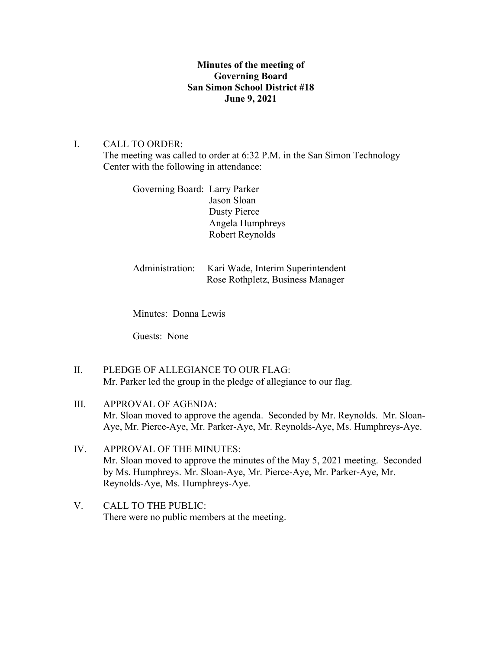# **Minutes of the meeting of Governing Board San Simon School District #18 June 9, 2021**

## I. CALL TO ORDER:

The meeting was called to order at 6:32 P.M. in the San Simon Technology Center with the following in attendance:

Governing Board: Larry Parker Jason Sloan Dusty Pierce Angela Humphreys Robert Reynolds

Administration: Kari Wade, Interim Superintendent Rose Rothpletz, Business Manager

Minutes: Donna Lewis

Guests: None

- II. PLEDGE OF ALLEGIANCE TO OUR FLAG: Mr. Parker led the group in the pledge of allegiance to our flag.
- III. APPROVAL OF AGENDA: Mr. Sloan moved to approve the agenda. Seconded by Mr. Reynolds. Mr. Sloan-Aye, Mr. Pierce-Aye, Mr. Parker-Aye, Mr. Reynolds-Aye, Ms. Humphreys-Aye.
- IV. APPROVAL OF THE MINUTES: Mr. Sloan moved to approve the minutes of the May 5, 2021 meeting. Seconded by Ms. Humphreys. Mr. Sloan-Aye, Mr. Pierce-Aye, Mr. Parker-Aye, Mr. Reynolds-Aye, Ms. Humphreys-Aye.
- V. CALL TO THE PUBLIC: There were no public members at the meeting.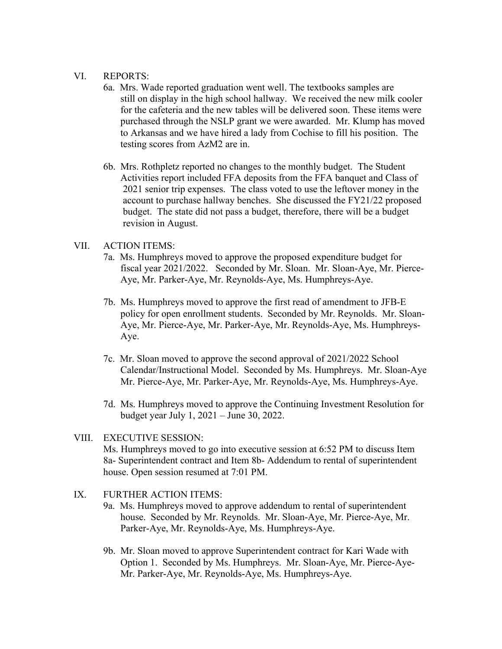### VI. REPORTS:

- 6a. Mrs. Wade reported graduation went well. The textbooks samples are still on display in the high school hallway. We received the new milk cooler for the cafeteria and the new tables will be delivered soon. These items were purchased through the NSLP grant we were awarded. Mr. Klump has moved to Arkansas and we have hired a lady from Cochise to fill his position. The testing scores from AzM2 are in.
- 6b. Mrs. Rothpletz reported no changes to the monthly budget. The Student Activities report included FFA deposits from the FFA banquet and Class of 2021 senior trip expenses. The class voted to use the leftover money in the account to purchase hallway benches. She discussed the FY21/22 proposed budget. The state did not pass a budget, therefore, there will be a budget revision in August.

### VII. ACTION ITEMS:

- 7a. Ms. Humphreys moved to approve the proposed expenditure budget for fiscal year 2021/2022. Seconded by Mr. Sloan. Mr. Sloan-Aye, Mr. Pierce- Aye, Mr. Parker-Aye, Mr. Reynolds-Aye, Ms. Humphreys-Aye.
- 7b. Ms. Humphreys moved to approve the first read of amendment to JFB-E policy for open enrollment students. Seconded by Mr. Reynolds. Mr. Sloan- Aye, Mr. Pierce-Aye, Mr. Parker-Aye, Mr. Reynolds-Aye, Ms. Humphreys- Aye.
- 7c. Mr. Sloan moved to approve the second approval of 2021/2022 School Calendar/Instructional Model. Seconded by Ms. Humphreys. Mr. Sloan-Aye Mr. Pierce-Aye, Mr. Parker-Aye, Mr. Reynolds-Aye, Ms. Humphreys-Aye.
- 7d. Ms. Humphreys moved to approve the Continuing Investment Resolution for budget year July 1, 2021 – June 30, 2022.

## VIII. EXECUTIVE SESSION:

Ms. Humphreys moved to go into executive session at 6:52 PM to discuss Item 8a- Superintendent contract and Item 8b- Addendum to rental of superintendent house. Open session resumed at 7:01 PM.

- IX. FURTHER ACTION ITEMS:
	- 9a. Ms. Humphreys moved to approve addendum to rental of superintendent house. Seconded by Mr. Reynolds. Mr. Sloan-Aye, Mr. Pierce-Aye, Mr. Parker-Aye, Mr. Reynolds-Aye, Ms. Humphreys-Aye.
	- 9b. Mr. Sloan moved to approve Superintendent contract for Kari Wade with Option 1. Seconded by Ms. Humphreys. Mr. Sloan-Aye, Mr. Pierce-Aye- Mr. Parker-Aye, Mr. Reynolds-Aye, Ms. Humphreys-Aye.